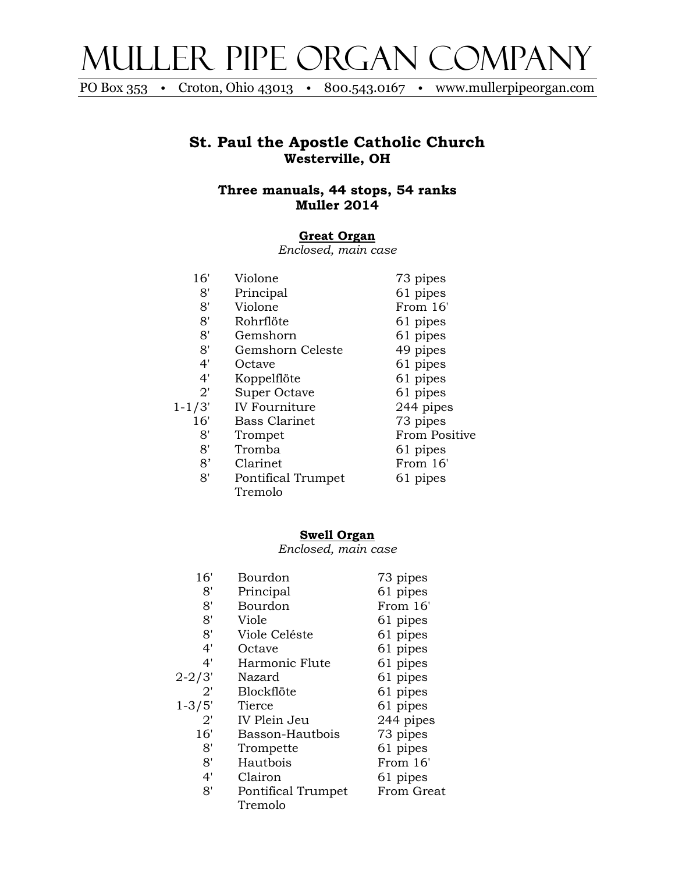

PO Box 353 • Croton, Ohio 43013 • 800.543.0167 • www.mullerpipeorgan.com

## **St. Paul the Apostle Catholic Church Westerville, OH**

**Three manuals, 44 stops, 54 ranks Muller 2014**

### **Great Organ**

*Enclosed, main case*

| 16'          | Violone              | 73 pipes             |
|--------------|----------------------|----------------------|
| 8'           | Principal            | 61 pipes             |
| 8'           | Violone              | From 16'             |
| 8'           | Rohrflöte            | 61 pipes             |
| 8'           | Gemshorn             | 61 pipes             |
| 8'           | Gemshorn Celeste     | 49 pipes             |
| 4'           | Octave               | 61 pipes             |
| 4'           | Koppelflöte          | 61 pipes             |
| $2^{\prime}$ | Super Octave         | 61 pipes             |
| $1 - 1/3'$   | <b>IV Fourniture</b> | 244 pipes            |
| 16'          | <b>Bass Clarinet</b> | 73 pipes             |
| 8'           | Trompet              | <b>From Positive</b> |
| 8'           | Tromba               | 61 pipes             |
| 8'           | Clarinet             | From 16'             |
| 8'           | Pontifical Trumpet   | 61 pipes             |
|              | Tremolo              |                      |

### **Swell Organ**

*Enclosed, main case*

| 16'          | Bourdon            | 73 pipes   |
|--------------|--------------------|------------|
| 8'           | Principal          | 61 pipes   |
| 8'           | Bourdon            | From 16'   |
| 8'           | Viole              | 61 pipes   |
| 8'           | Viole Celéste      | 61 pipes   |
| 4'           | Octave             | 61 pipes   |
| 4'           | Harmonic Flute     | 61 pipes   |
| 2-2/3'       | Nazard             | 61 pipes   |
| 2'           | Blockflöte         | 61 pipes   |
| $1 - 3/5'$   | Tierce             | 61 pipes   |
| $2^{\prime}$ | IV Plein Jeu       | 244 pipes  |
| 16'          | Basson-Hautbois    | 73 pipes   |
| 8'           | Trompette          | 61 pipes   |
| 8'           | Hautbois           | From 16'   |
| 4'           | Clairon            | 61 pipes   |
| 8'           | Pontifical Trumpet | From Great |
|              | Tremolo            |            |